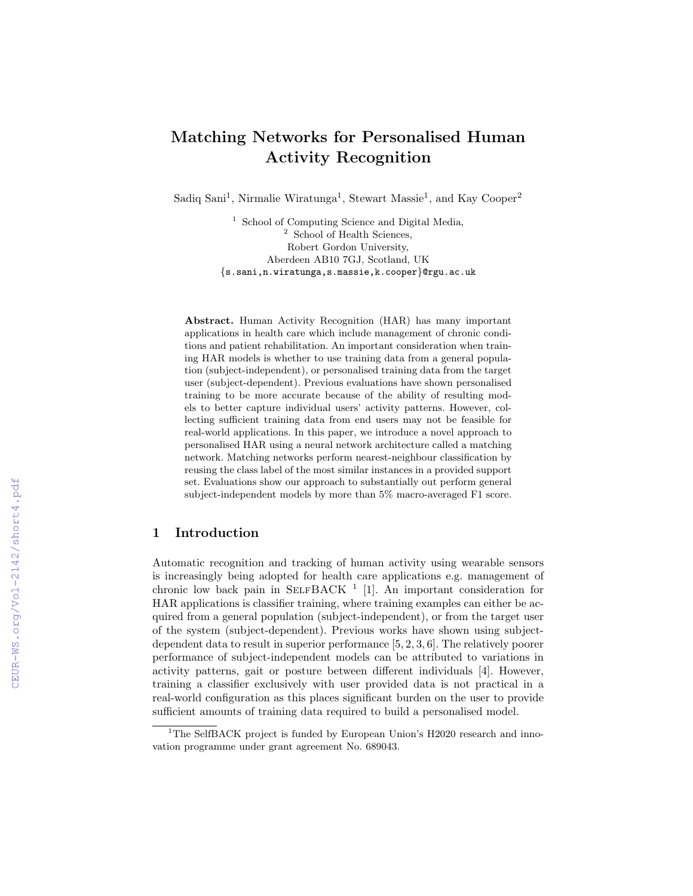# Matching Networks for Personalised Human Activity Recognition

Sadiq Sani<sup>1</sup>, Nirmalie Wiratunga<sup>1</sup>, Stewart Massie<sup>1</sup>, and Kay Cooper<sup>2</sup>

<sup>1</sup> School of Computing Science and Digital Media, <sup>2</sup> School of Health Sciences, Robert Gordon University, Aberdeen AB10 7GJ, Scotland, UK {s.sani,n.wiratunga,s.massie,k.cooper}@rgu.ac.uk

Abstract. Human Activity Recognition (HAR) has many important applications in health care which include management of chronic conditions and patient rehabilitation. An important consideration when training HAR models is whether to use training data from a general population (subject-independent), or personalised training data from the target user (subject-dependent). Previous evaluations have shown personalised training to be more accurate because of the ability of resulting models to better capture individual users' activity patterns. However, collecting sufficient training data from end users may not be feasible for real-world applications. In this paper, we introduce a novel approach to personalised HAR using a neural network architecture called a matching network. Matching networks perform nearest-neighbour classification by reusing the class label of the most similar instances in a provided support set. Evaluations show our approach to substantially out perform general subject-independent models by more than 5% macro-averaged F1 score.

### 1 Introduction

Automatic recognition and tracking of human activity using wearable sensors is increasingly being adopted for health care applications e.g. management of chronic low back pain in SELFBACK<sup>1</sup> [1]. An important consideration for HAR applications is classifier training, where training examples can either be acquired from a general population (subject-independent), or from the target user of the system (subject-dependent). Previous works have shown using subjectdependent data to result in superior performance [5, 2, 3, 6]. The relatively poorer performance of subject-independent models can be attributed to variations in activity patterns, gait or posture between different individuals [4]. However, training a classifier exclusively with user provided data is not practical in a real-world configuration as this places significant burden on the user to provide sufficient amounts of training data required to build a personalised model.

 $1$ <sup>1</sup>The SelfBACK project is funded by European Union's H2020 research and innovation programme under grant agreement No. 689043.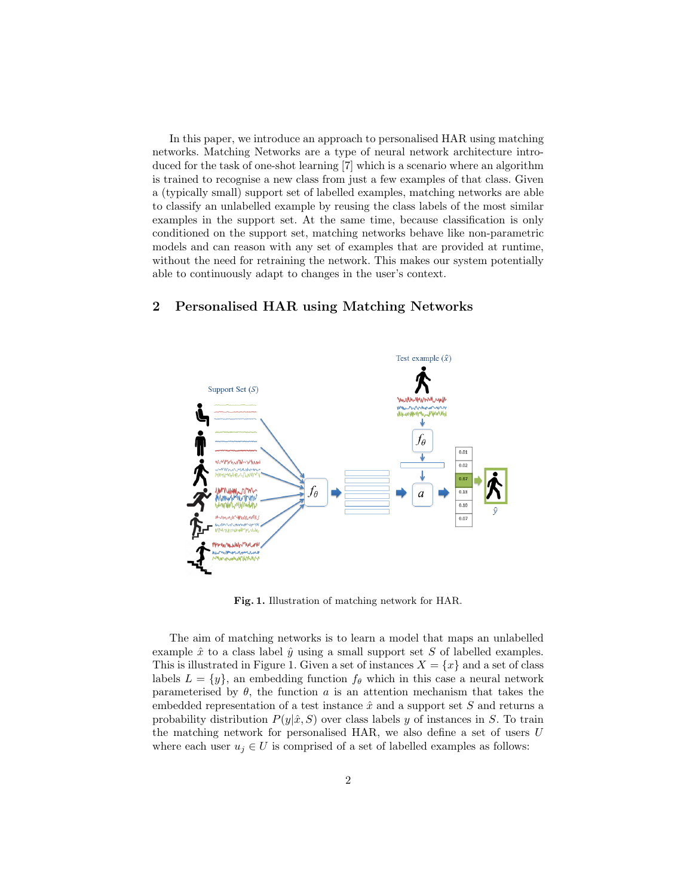In this paper, we introduce an approach to personalised HAR using matching networks. Matching Networks are a type of neural network architecture introduced for the task of one-shot learning [7] which is a scenario where an algorithm is trained to recognise a new class from just a few examples of that class. Given a (typically small) support set of labelled examples, matching networks are able to classify an unlabelled example by reusing the class labels of the most similar examples in the support set. At the same time, because classification is only conditioned on the support set, matching networks behave like non-parametric models and can reason with any set of examples that are provided at runtime, without the need for retraining the network. This makes our system potentially able to continuously adapt to changes in the user's context.

## 2 Personalised HAR using Matching Networks



Fig. 1. Illustration of matching network for HAR.

The aim of matching networks is to learn a model that maps an unlabelled example  $\hat{x}$  to a class label  $\hat{y}$  using a small support set S of labelled examples. This is illustrated in Figure 1. Given a set of instances  $X = \{x\}$  and a set of class labels  $L = \{y\}$ , an embedding function  $f_{\theta}$  which in this case a neural network parameterised by  $\theta$ , the function a is an attention mechanism that takes the embedded representation of a test instance  $\hat{x}$  and a support set S and returns a probability distribution  $P(y|\hat{x}, S)$  over class labels y of instances in S. To train the matching network for personalised HAR, we also define a set of users U where each user  $u_j \in U$  is comprised of a set of labelled examples as follows: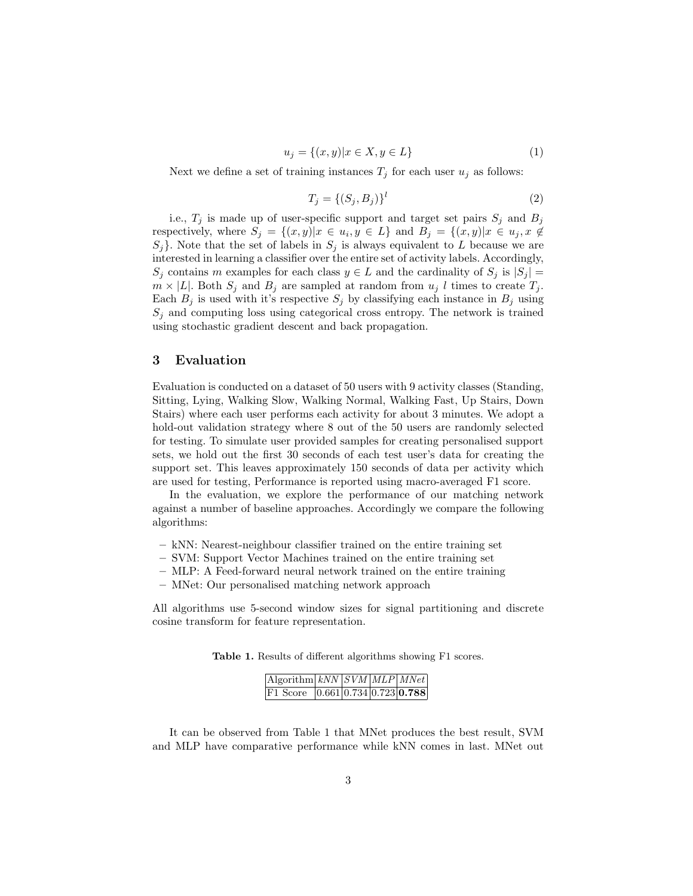$$
u_j = \{(x, y) | x \in X, y \in L\}
$$
\n(1)

Next we define a set of training instances  $T_j$  for each user  $u_j$  as follows:

$$
T_j = \{(S_j, B_j)\}^l \tag{2}
$$

i.e.,  $T_j$  is made up of user-specific support and target set pairs  $S_j$  and  $B_j$ respectively, where  $S_j = \{(x, y)|x \in u_i, y \in L\}$  and  $B_j = \{(x, y)|x \in u_j, x \notin L\}$  $S_j$ . Note that the set of labels in  $S_j$  is always equivalent to L because we are interested in learning a classifier over the entire set of activity labels. Accordingly,  $S_j$  contains m examples for each class  $y \in L$  and the cardinality of  $S_j$  is  $|S_j|$  =  $m \times |L|$ . Both  $S_j$  and  $B_j$  are sampled at random from  $u_j$  l times to create  $T_j$ . Each  $B_j$  is used with it's respective  $S_j$  by classifying each instance in  $B_j$  using  $S_j$  and computing loss using categorical cross entropy. The network is trained using stochastic gradient descent and back propagation.

#### 3 Evaluation

Evaluation is conducted on a dataset of 50 users with 9 activity classes (Standing, Sitting, Lying, Walking Slow, Walking Normal, Walking Fast, Up Stairs, Down Stairs) where each user performs each activity for about 3 minutes. We adopt a hold-out validation strategy where 8 out of the 50 users are randomly selected for testing. To simulate user provided samples for creating personalised support sets, we hold out the first 30 seconds of each test user's data for creating the support set. This leaves approximately 150 seconds of data per activity which are used for testing, Performance is reported using macro-averaged F1 score.

In the evaluation, we explore the performance of our matching network against a number of baseline approaches. Accordingly we compare the following algorithms:

- kNN: Nearest-neighbour classifier trained on the entire training set
- SVM: Support Vector Machines trained on the entire training set
- MLP: A Feed-forward neural network trained on the entire training
- MNet: Our personalised matching network approach

All algorithms use 5-second window sizes for signal partitioning and discrete cosine transform for feature representation.

Table 1. Results of different algorithms showing F1 scores.

| $\overline{Algorithm kNN SVM MLP MNet}$ |  |  |
|-----------------------------------------|--|--|
| F1 Score $[0.661] 0.734] 0.723] 0.788$  |  |  |

It can be observed from Table 1 that MNet produces the best result, SVM and MLP have comparative performance while kNN comes in last. MNet out